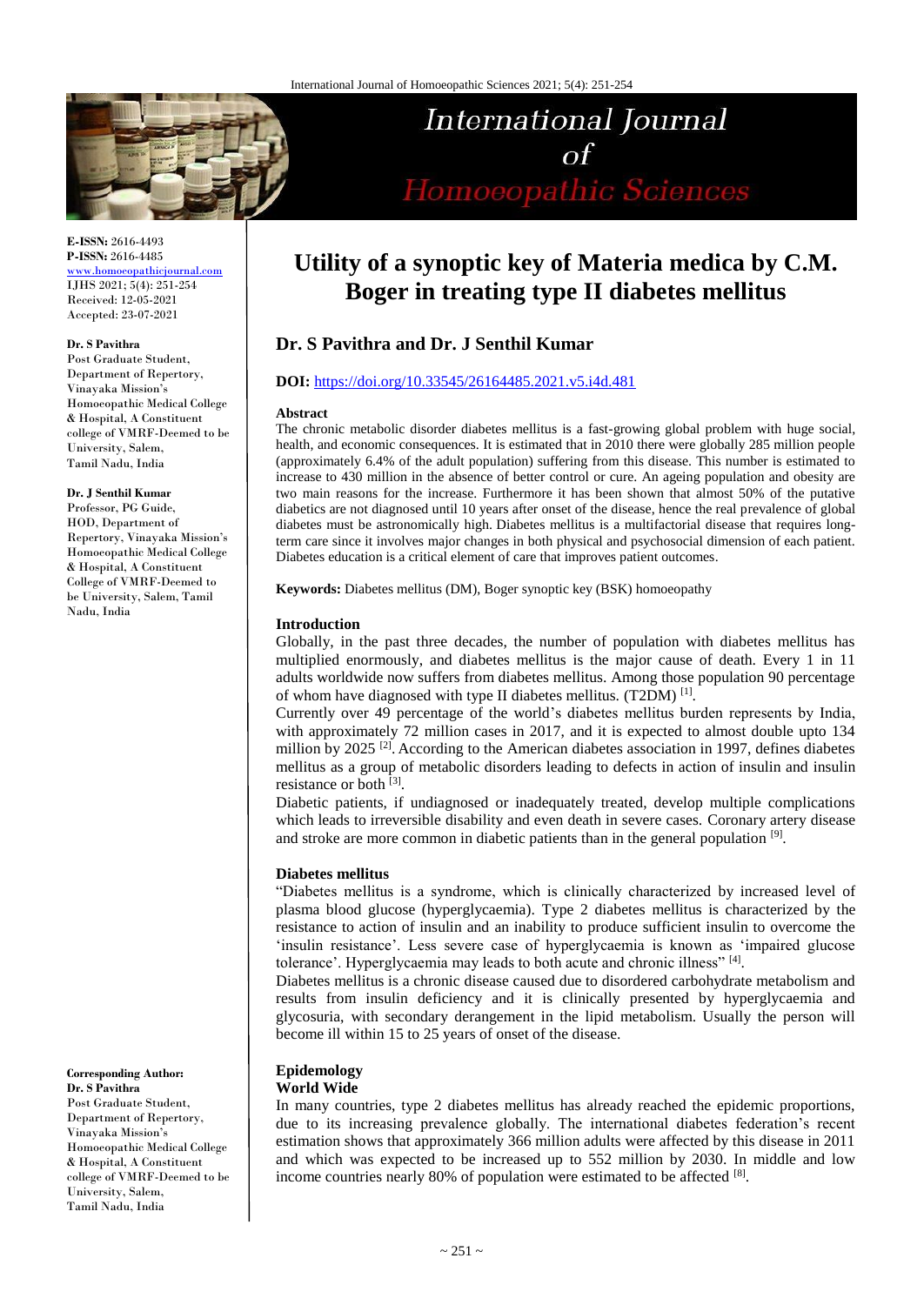

**E-ISSN:** 2616-4493 **P-ISSN:** 2616-4485

[www.homoeopathicjournal.com](http://www.homoeopathicjournal.com/) IJHS 2021; 5(4): 251-254 Received: 12-05-2021 Accepted: 23-07-2021

#### **Dr. S Pavithra**

Post Graduate Student, Department of Repertory, Vinayaka Mission's Homoeopathic Medical College & Hospital, A Constituent college of VMRF-Deemed to be University, Salem, Tamil Nadu, India

#### **Dr. J Senthil Kumar**

Professor, PG Guide, HOD, Department of Repertory, Vinayaka Mission's Homoeopathic Medical College & Hospital, A Constituent College of VMRF-Deemed to be University, Salem, Tamil Nadu, India

**Corresponding Author: Dr. S Pavithra**  Post Graduate Student, Department of Repertory, Vinayaka Mission's Homoeopathic Medical College & Hospital, A Constituent college of VMRF-Deemed to be University, Salem, Tamil Nadu, India

# **Utility of a synoptic key of Materia medica by C.M. Boger in treating type II diabetes mellitus**

International Journal

 $\sigma$ f

Homoeopathic Sciences

# **Dr. S Pavithra and Dr. J Senthil Kumar**

# **DOI:** <https://doi.org/10.33545/26164485.2021.v5.i4d.481>

#### **Abstract**

The chronic metabolic disorder diabetes mellitus is a fast-growing global problem with huge social, health, and economic consequences. It is estimated that in 2010 there were globally 285 million people (approximately 6.4% of the adult population) suffering from this disease. This number is estimated to increase to 430 million in the absence of better control or cure. An ageing population and obesity are two main reasons for the increase. Furthermore it has been shown that almost 50% of the putative diabetics are not diagnosed until 10 years after onset of the disease, hence the real prevalence of global diabetes must be astronomically high. Diabetes mellitus is a multifactorial disease that requires longterm care since it involves major changes in both physical and psychosocial dimension of each patient. Diabetes education is a critical element of care that improves patient outcomes.

**Keywords:** Diabetes mellitus (DM), Boger synoptic key (BSK) homoeopathy

# **Introduction**

Globally, in the past three decades, the number of population with diabetes mellitus has multiplied enormously, and diabetes mellitus is the major cause of death. Every 1 in 11 adults worldwide now suffers from diabetes mellitus. Among those population 90 percentage of whom have diagnosed with type II diabetes mellitus. (T2DM) [1].

Currently over 49 percentage of the world's diabetes mellitus burden represents by India, with approximately 72 million cases in 2017, and it is expected to almost double upto 134 million by 2025<sup>[2]</sup>. According to the American diabetes association in 1997, defines diabetes mellitus as a group of metabolic disorders leading to defects in action of insulin and insulin resistance or both [3].

Diabetic patients, if undiagnosed or inadequately treated, develop multiple complications which leads to irreversible disability and even death in severe cases. Coronary artery disease and stroke are more common in diabetic patients than in the general population [9].

#### **Diabetes mellitus**

"Diabetes mellitus is a syndrome, which is clinically characterized by increased level of plasma blood glucose (hyperglycaemia). Type 2 diabetes mellitus is characterized by the resistance to action of insulin and an inability to produce sufficient insulin to overcome the 'insulin resistance'. Less severe case of hyperglycaemia is known as 'impaired glucose tolerance'. Hyperglycaemia may leads to both acute and chronic illness"<sup>[4]</sup>.

Diabetes mellitus is a chronic disease caused due to disordered carbohydrate metabolism and results from insulin deficiency and it is clinically presented by hyperglycaemia and glycosuria, with secondary derangement in the lipid metabolism. Usually the person will become ill within 15 to 25 years of onset of the disease.

# **Epidemology**

# **World Wide**

In many countries, type 2 diabetes mellitus has already reached the epidemic proportions, due to its increasing prevalence globally. The international diabetes federation's recent estimation shows that approximately 366 million adults were affected by this disease in 2011 and which was expected to be increased up to 552 million by 2030. In middle and low income countries nearly 80% of population were estimated to be affected [8].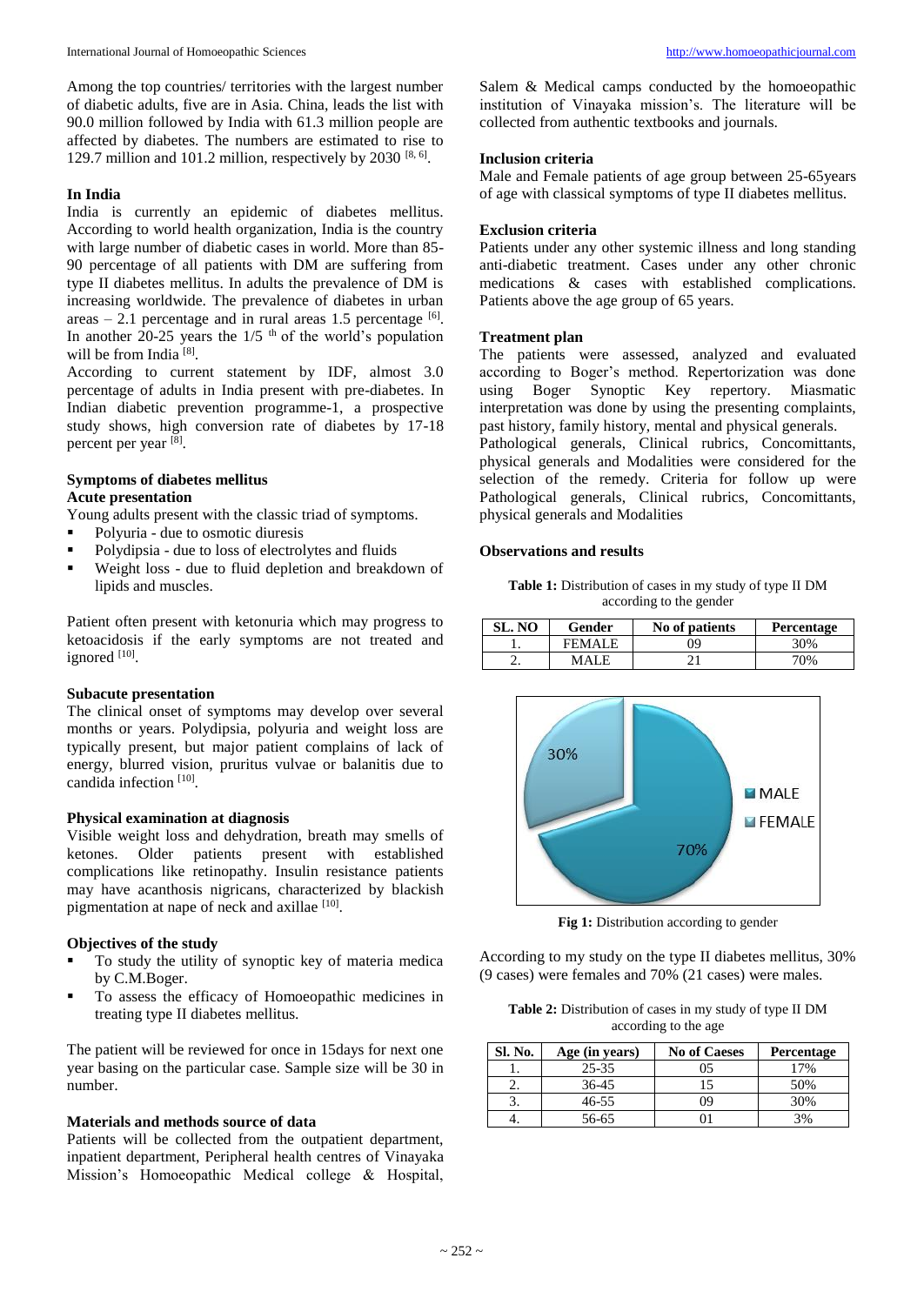Among the top countries/ territories with the largest number of diabetic adults, five are in Asia. China, leads the list with 90.0 million followed by India with 61.3 million people are affected by diabetes. The numbers are estimated to rise to 129.7 million and 101.2 million, respectively by 2030  $[8, 6]$ .

# **In India**

India is currently an epidemic of diabetes mellitus. According to world health organization, India is the country with large number of diabetic cases in world. More than 85- 90 percentage of all patients with DM are suffering from type II diabetes mellitus. In adults the prevalence of DM is increasing worldwide. The prevalence of diabetes in urban areas  $-2.1$  percentage and in rural areas 1.5 percentage  $[6]$ . In another  $20-25$  years the  $1/5$ <sup>th</sup> of the world's population will be from India<sup>[8]</sup>.

According to current statement by IDF, almost 3.0 percentage of adults in India present with pre-diabetes. In Indian diabetic prevention programme-1, a prospective study shows, high conversion rate of diabetes by 17-18 percent per year [8].

# **Symptoms of diabetes mellitus**

# **Acute presentation**

Young adults present with the classic triad of symptoms.

- Polyuria due to osmotic diuresis
- Polydipsia due to loss of electrolytes and fluids
- Weight loss due to fluid depletion and breakdown of lipids and muscles.

Patient often present with ketonuria which may progress to ketoacidosis if the early symptoms are not treated and ignored [10].

# **Subacute presentation**

The clinical onset of symptoms may develop over several months or years. Polydipsia, polyuria and weight loss are typically present, but major patient complains of lack of energy, blurred vision, pruritus vulvae or balanitis due to candida infection<sup>[10]</sup>.

#### **Physical examination at diagnosis**

Visible weight loss and dehydration, breath may smells of ketones. Older patients present with established complications like retinopathy. Insulin resistance patients may have acanthosis nigricans, characterized by blackish pigmentation at nape of neck and axillae [10].

# **Objectives of the study**

- To study the utility of synoptic key of materia medica by C.M.Boger.
- To assess the efficacy of Homoeopathic medicines in treating type II diabetes mellitus.

The patient will be reviewed for once in 15days for next one year basing on the particular case. Sample size will be 30 in number.

#### **Materials and methods source of data**

Patients will be collected from the outpatient department, inpatient department, Peripheral health centres of Vinayaka Mission's Homoeopathic Medical college & Hospital,

Salem & Medical camps conducted by the homoeopathic institution of Vinayaka mission's. The literature will be collected from authentic textbooks and journals.

#### **Inclusion criteria**

Male and Female patients of age group between 25-65years of age with classical symptoms of type II diabetes mellitus.

# **Exclusion criteria**

Patients under any other systemic illness and long standing anti-diabetic treatment. Cases under any other chronic medications & cases with established complications. Patients above the age group of 65 years.

#### **Treatment plan**

The patients were assessed, analyzed and evaluated according to Boger's method. Repertorization was done using Boger Synoptic Key repertory. Miasmatic interpretation was done by using the presenting complaints, past history, family history, mental and physical generals.

Pathological generals, Clinical rubrics, Concomittants, physical generals and Modalities were considered for the selection of the remedy. Criteria for follow up were Pathological generals, Clinical rubrics, Concomittants, physical generals and Modalities

#### **Observations and results**

**Table 1:** Distribution of cases in my study of type II DM according to the gender

| SL. NO | Gender        | No of patients | Percentage |
|--------|---------------|----------------|------------|
|        | <b>FEMALE</b> | 09             | 30%        |
|        | MALE.         |                | 70%        |



**Fig 1:** Distribution according to gender

According to my study on the type II diabetes mellitus, 30% (9 cases) were females and 70% (21 cases) were males.

**Table 2:** Distribution of cases in my study of type II DM according to the age

| Sl. No. | Age (in years) | <b>No of Caeses</b> | Percentage |
|---------|----------------|---------------------|------------|
|         | 25-35          | 05                  | 17%        |
| $\sim$  | 36-45          |                     | 50%        |
|         | $46 - 55$      | Ωg                  | 30%        |
|         | 56-65          |                     | 3%         |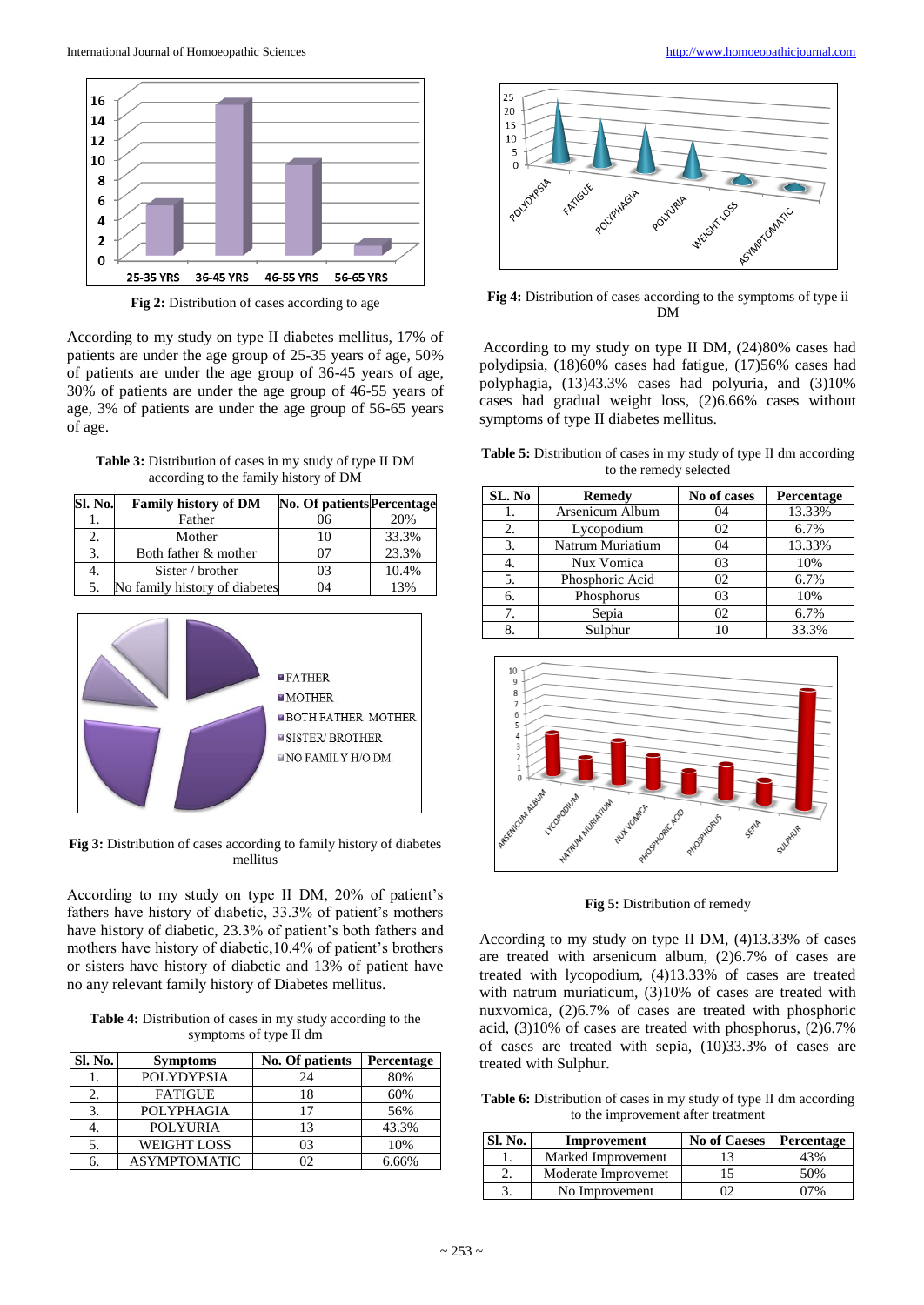

**Fig 2:** Distribution of cases according to age

According to my study on type II diabetes mellitus, 17% of patients are under the age group of 25-35 years of age, 50% of patients are under the age group of 36-45 years of age, 30% of patients are under the age group of 46-55 years of age, 3% of patients are under the age group of 56-65 years of age.

**Table 3:** Distribution of cases in my study of type II DM according to the family history of DM

| Sl. No. | <b>Family history of DM</b>   | <b>No. Of patients Percentage</b> |       |
|---------|-------------------------------|-----------------------------------|-------|
|         | Father                        | 06                                | 20%   |
| 2.      | Mother                        | 10                                | 33.3% |
| 3.      | Both father & mother          | 07                                | 23.3% |
| 4.      | Sister / brother              | 03                                | 10.4% |
|         | No family history of diabetes | 04                                | 13%   |



**Fig 3:** Distribution of cases according to family history of diabetes mellitus

According to my study on type II DM, 20% of patient's fathers have history of diabetic, 33.3% of patient's mothers have history of diabetic, 23.3% of patient's both fathers and mothers have history of diabetic,10.4% of patient's brothers or sisters have history of diabetic and 13% of patient have no any relevant family history of Diabetes mellitus.

**Table 4:** Distribution of cases in my study according to the symptoms of type II dm

| Sl. No. | <b>Symptoms</b>     | No. Of patients | Percentage |
|---------|---------------------|-----------------|------------|
|         | <b>POLYDYPSIA</b>   | 24              | 80%        |
|         | <b>FATIGUE</b>      | 18              | 60%        |
| 3.      | POLYPHAGIA          | 17              | 56%        |
| 4.      | <b>POLYURIA</b>     | 13              | 43.3%      |
| 5.      | <b>WEIGHT LOSS</b>  | 03              | 10%        |
|         | <b>ASYMPTOMATIC</b> |                 | 6.66%      |



**Fig 4:** Distribution of cases according to the symptoms of type ii DM

According to my study on type II DM, (24)80% cases had polydipsia, (18)60% cases had fatigue, (17)56% cases had polyphagia, (13)43.3% cases had polyuria, and (3)10% cases had gradual weight loss, (2)6.66% cases without symptoms of type II diabetes mellitus.

**Table 5:** Distribution of cases in my study of type II dm according to the remedy selected

| SL. No | <b>Remedy</b>    | No of cases | Percentage |
|--------|------------------|-------------|------------|
|        | Arsenicum Album  | 04          | 13.33%     |
| 2.     | Lycopodium       | 02          | 6.7%       |
| 3.     | Natrum Muriatium | 04          | 13.33%     |
|        | Nux Vomica       | 03          | 10%        |
| 5.     | Phosphoric Acid  | 02          | 6.7%       |
| 6.     | Phosphorus       | 03          | 10%        |
| 7.     | Sepia            | 02          | 6.7%       |
| 8.     | Sulphur          | 10          | 33.3%      |



**Fig 5:** Distribution of remedy

According to my study on type II DM, (4)13.33% of cases are treated with arsenicum album, (2)6.7% of cases are treated with lycopodium, (4)13.33% of cases are treated with natrum muriaticum, (3)10% of cases are treated with nuxvomica, (2)6.7% of cases are treated with phosphoric acid, (3)10% of cases are treated with phosphorus, (2)6.7% of cases are treated with sepia, (10)33.3% of cases are treated with Sulphur.

Table 6: Distribution of cases in my study of type II dm according to the improvement after treatment

| Sl. No. | Improvement         | <b>No of Caeses</b> | Percentage |
|---------|---------------------|---------------------|------------|
|         | Marked Improvement  |                     | 13%        |
|         | Moderate Improvemet |                     | 50%        |
|         | No Improvement      |                     |            |